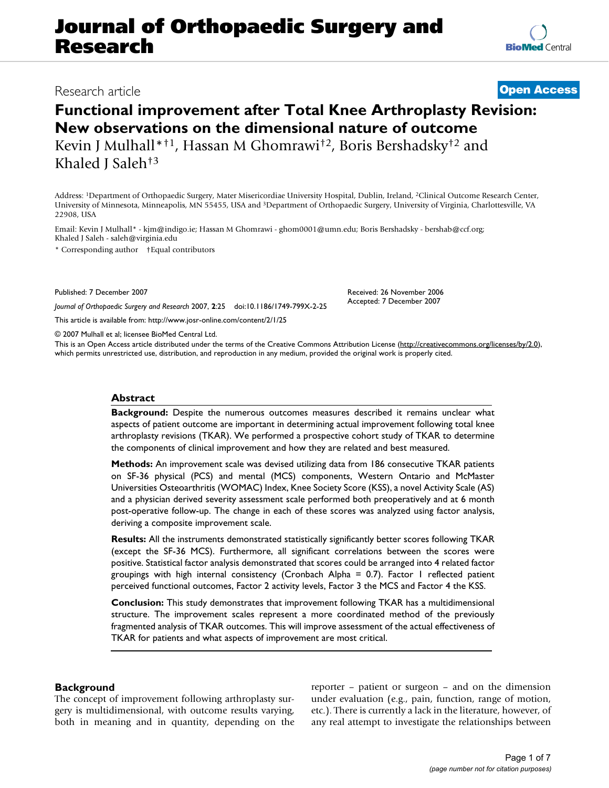# **Journal of Orthopaedic Surgery and Research**

### Research article **[Open Access](http://www.biomedcentral.com/info/about/charter/)**

## **Functional improvement after Total Knee Arthroplasty Revision: New observations on the dimensional nature of outcome** Kevin J Mulhall\*†1, Hassan M Ghomrawi†2, Boris Bershadsky†2 and

Khaled J Saleh†3

Address: 1Department of Orthopaedic Surgery, Mater Misericordiae University Hospital, Dublin, Ireland, 2Clinical Outcome Research Center, University of Minnesota, Minneapolis, MN 55455, USA and 3Department of Orthopaedic Surgery, University of Virginia, Charlottesville, VA 22908, USA

Email: Kevin J Mulhall\* - kjm@indigo.ie; Hassan M Ghomrawi - ghom0001@umn.edu; Boris Bershadsky - bershab@ccf.org; Khaled J Saleh - saleh@virginia.edu

\* Corresponding author †Equal contributors

Published: 7 December 2007

*Journal of Orthopaedic Surgery and Research* 2007, **2**:25 doi:10.1186/1749-799X-2-25

[This article is available from: http://www.josr-online.com/content/2/1/25](http://www.josr-online.com/content/2/1/25)

© 2007 Mulhall et al; licensee BioMed Central Ltd.

This is an Open Access article distributed under the terms of the Creative Commons Attribution License [\(http://creativecommons.org/licenses/by/2.0\)](http://creativecommons.org/licenses/by/2.0), which permits unrestricted use, distribution, and reproduction in any medium, provided the original work is properly cited.

Received: 26 November 2006 Accepted: 7 December 2007

#### **Abstract**

**Background:** Despite the numerous outcomes measures described it remains unclear what aspects of patient outcome are important in determining actual improvement following total knee arthroplasty revisions (TKAR). We performed a prospective cohort study of TKAR to determine the components of clinical improvement and how they are related and best measured.

**Methods:** An improvement scale was devised utilizing data from 186 consecutive TKAR patients on SF-36 physical (PCS) and mental (MCS) components, Western Ontario and McMaster Universities Osteoarthritis (WOMAC) Index, Knee Society Score (KSS), a novel Activity Scale (AS) and a physician derived severity assessment scale performed both preoperatively and at 6 month post-operative follow-up. The change in each of these scores was analyzed using factor analysis, deriving a composite improvement scale.

**Results:** All the instruments demonstrated statistically significantly better scores following TKAR (except the SF-36 MCS). Furthermore, all significant correlations between the scores were positive. Statistical factor analysis demonstrated that scores could be arranged into 4 related factor groupings with high internal consistency (Cronbach Alpha = 0.7). Factor 1 reflected patient perceived functional outcomes, Factor 2 activity levels, Factor 3 the MCS and Factor 4 the KSS.

**Conclusion:** This study demonstrates that improvement following TKAR has a multidimensional structure. The improvement scales represent a more coordinated method of the previously fragmented analysis of TKAR outcomes. This will improve assessment of the actual effectiveness of TKAR for patients and what aspects of improvement are most critical.

#### **Background**

The concept of improvement following arthroplasty surgery is multidimensional, with outcome results varying, both in meaning and in quantity, depending on the reporter – patient or surgeon – and on the dimension under evaluation (e.g., pain, function, range of motion, etc.). There is currently a lack in the literature, however, of any real attempt to investigate the relationships between

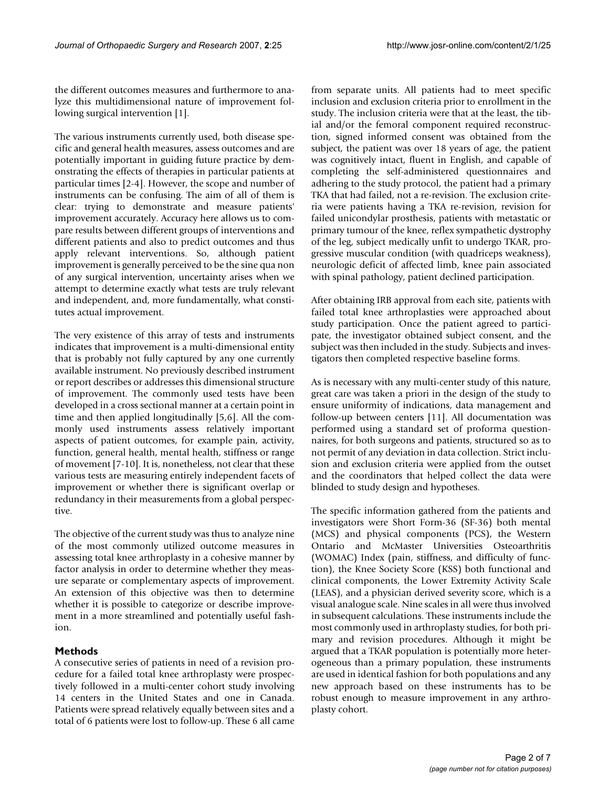the different outcomes measures and furthermore to analyze this multidimensional nature of improvement following surgical intervention [1].

The various instruments currently used, both disease specific and general health measures, assess outcomes and are potentially important in guiding future practice by demonstrating the effects of therapies in particular patients at particular times [2-4]. However, the scope and number of instruments can be confusing. The aim of all of them is clear: trying to demonstrate and measure patients' improvement accurately. Accuracy here allows us to compare results between different groups of interventions and different patients and also to predict outcomes and thus apply relevant interventions. So, although patient improvement is generally perceived to be the sine qua non of any surgical intervention, uncertainty arises when we attempt to determine exactly what tests are truly relevant and independent, and, more fundamentally, what constitutes actual improvement.

The very existence of this array of tests and instruments indicates that improvement is a multi-dimensional entity that is probably not fully captured by any one currently available instrument. No previously described instrument or report describes or addresses this dimensional structure of improvement. The commonly used tests have been developed in a cross sectional manner at a certain point in time and then applied longitudinally [5,6]. All the commonly used instruments assess relatively important aspects of patient outcomes, for example pain, activity, function, general health, mental health, stiffness or range of movement [7-10]. It is, nonetheless, not clear that these various tests are measuring entirely independent facets of improvement or whether there is significant overlap or redundancy in their measurements from a global perspective.

The objective of the current study was thus to analyze nine of the most commonly utilized outcome measures in assessing total knee arthroplasty in a cohesive manner by factor analysis in order to determine whether they measure separate or complementary aspects of improvement. An extension of this objective was then to determine whether it is possible to categorize or describe improvement in a more streamlined and potentially useful fashion.

#### **Methods**

A consecutive series of patients in need of a revision procedure for a failed total knee arthroplasty were prospectively followed in a multi-center cohort study involving 14 centers in the United States and one in Canada. Patients were spread relatively equally between sites and a total of 6 patients were lost to follow-up. These 6 all came

from separate units. All patients had to meet specific inclusion and exclusion criteria prior to enrollment in the study. The inclusion criteria were that at the least, the tibial and/or the femoral component required reconstruction, signed informed consent was obtained from the subject, the patient was over 18 years of age, the patient was cognitively intact, fluent in English, and capable of completing the self-administered questionnaires and adhering to the study protocol, the patient had a primary TKA that had failed, not a re-revision. The exclusion criteria were patients having a TKA re-revision, revision for failed unicondylar prosthesis, patients with metastatic or primary tumour of the knee, reflex sympathetic dystrophy of the leg, subject medically unfit to undergo TKAR, progressive muscular condition (with quadriceps weakness), neurologic deficit of affected limb, knee pain associated with spinal pathology, patient declined participation.

After obtaining IRB approval from each site, patients with failed total knee arthroplasties were approached about study participation. Once the patient agreed to participate, the investigator obtained subject consent, and the subject was then included in the study. Subjects and investigators then completed respective baseline forms.

As is necessary with any multi-center study of this nature, great care was taken a priori in the design of the study to ensure uniformity of indications, data management and follow-up between centers [11]. All documentation was performed using a standard set of proforma questionnaires, for both surgeons and patients, structured so as to not permit of any deviation in data collection. Strict inclusion and exclusion criteria were applied from the outset and the coordinators that helped collect the data were blinded to study design and hypotheses.

The specific information gathered from the patients and investigators were Short Form-36 (SF-36) both mental (MCS) and physical components (PCS), the Western Ontario and McMaster Universities Osteoarthritis (WOMAC) Index (pain, stiffness, and difficulty of function), the Knee Society Score (KSS) both functional and clinical components, the Lower Extremity Activity Scale (LEAS), and a physician derived severity score, which is a visual analogue scale. Nine scales in all were thus involved in subsequent calculations. These instruments include the most commonly used in arthroplasty studies, for both primary and revision procedures. Although it might be argued that a TKAR population is potentially more heterogeneous than a primary population, these instruments are used in identical fashion for both populations and any new approach based on these instruments has to be robust enough to measure improvement in any arthroplasty cohort.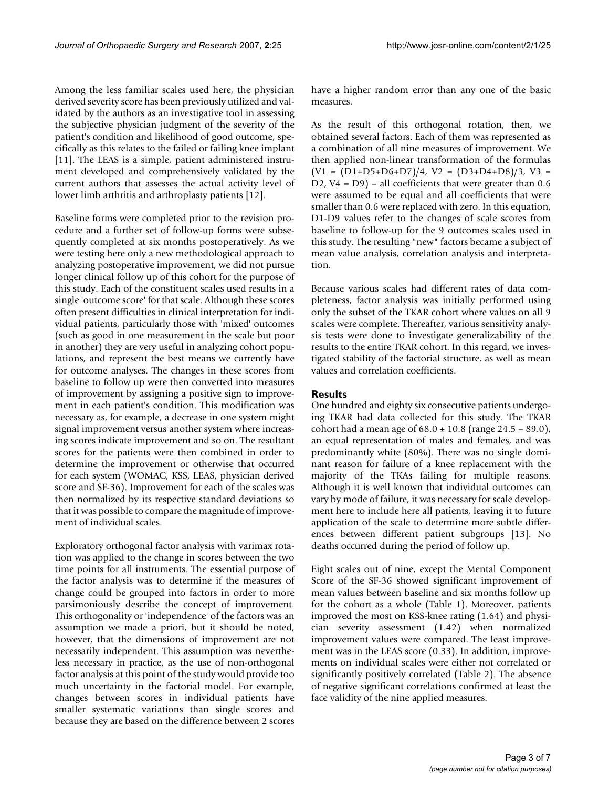Among the less familiar scales used here, the physician derived severity score has been previously utilized and validated by the authors as an investigative tool in assessing the subjective physician judgment of the severity of the patient's condition and likelihood of good outcome, specifically as this relates to the failed or failing knee implant [11]. The LEAS is a simple, patient administered instrument developed and comprehensively validated by the current authors that assesses the actual activity level of lower limb arthritis and arthroplasty patients [12].

Baseline forms were completed prior to the revision procedure and a further set of follow-up forms were subsequently completed at six months postoperatively. As we were testing here only a new methodological approach to analyzing postoperative improvement, we did not pursue longer clinical follow up of this cohort for the purpose of this study. Each of the constituent scales used results in a single 'outcome score' for that scale. Although these scores often present difficulties in clinical interpretation for individual patients, particularly those with 'mixed' outcomes (such as good in one measurement in the scale but poor in another) they are very useful in analyzing cohort populations, and represent the best means we currently have for outcome analyses. The changes in these scores from baseline to follow up were then converted into measures of improvement by assigning a positive sign to improvement in each patient's condition. This modification was necessary as, for example, a decrease in one system might signal improvement versus another system where increasing scores indicate improvement and so on. The resultant scores for the patients were then combined in order to determine the improvement or otherwise that occurred for each system (WOMAC, KSS, LEAS, physician derived score and SF-36). Improvement for each of the scales was then normalized by its respective standard deviations so that it was possible to compare the magnitude of improvement of individual scales.

Exploratory orthogonal factor analysis with varimax rotation was applied to the change in scores between the two time points for all instruments. The essential purpose of the factor analysis was to determine if the measures of change could be grouped into factors in order to more parsimoniously describe the concept of improvement. This orthogonality or 'independence' of the factors was an assumption we made a priori, but it should be noted, however, that the dimensions of improvement are not necessarily independent. This assumption was nevertheless necessary in practice, as the use of non-orthogonal factor analysis at this point of the study would provide too much uncertainty in the factorial model. For example, changes between scores in individual patients have smaller systematic variations than single scores and because they are based on the difference between 2 scores have a higher random error than any one of the basic measures.

As the result of this orthogonal rotation, then, we obtained several factors. Each of them was represented as a combination of all nine measures of improvement. We then applied non-linear transformation of the formulas  $(V1 = (D1+D5+D6+D7)/4, V2 = (D3+D4+D8)/3, V3 =$ D2, V4 = D9) – all coefficients that were greater than 0.6 were assumed to be equal and all coefficients that were smaller than 0.6 were replaced with zero. In this equation, D1-D9 values refer to the changes of scale scores from baseline to follow-up for the 9 outcomes scales used in this study. The resulting "new" factors became a subject of mean value analysis, correlation analysis and interpretation.

Because various scales had different rates of data completeness, factor analysis was initially performed using only the subset of the TKAR cohort where values on all 9 scales were complete. Thereafter, various sensitivity analysis tests were done to investigate generalizability of the results to the entire TKAR cohort. In this regard, we investigated stability of the factorial structure, as well as mean values and correlation coefficients.

#### **Results**

One hundred and eighty six consecutive patients undergoing TKAR had data collected for this study. The TKAR cohort had a mean age of  $68.0 \pm 10.8$  (range  $24.5 - 89.0$ ), an equal representation of males and females, and was predominantly white (80%). There was no single dominant reason for failure of a knee replacement with the majority of the TKAs failing for multiple reasons. Although it is well known that individual outcomes can vary by mode of failure, it was necessary for scale development here to include here all patients, leaving it to future application of the scale to determine more subtle differences between different patient subgroups [13]. No deaths occurred during the period of follow up.

Eight scales out of nine, except the Mental Component Score of the SF-36 showed significant improvement of mean values between baseline and six months follow up for the cohort as a whole (Table 1). Moreover, patients improved the most on KSS-knee rating (1.64) and physician severity assessment (1.42) when normalized improvement values were compared. The least improvement was in the LEAS score (0.33). In addition, improvements on individual scales were either not correlated or significantly positively correlated (Table 2). The absence of negative significant correlations confirmed at least the face validity of the nine applied measures.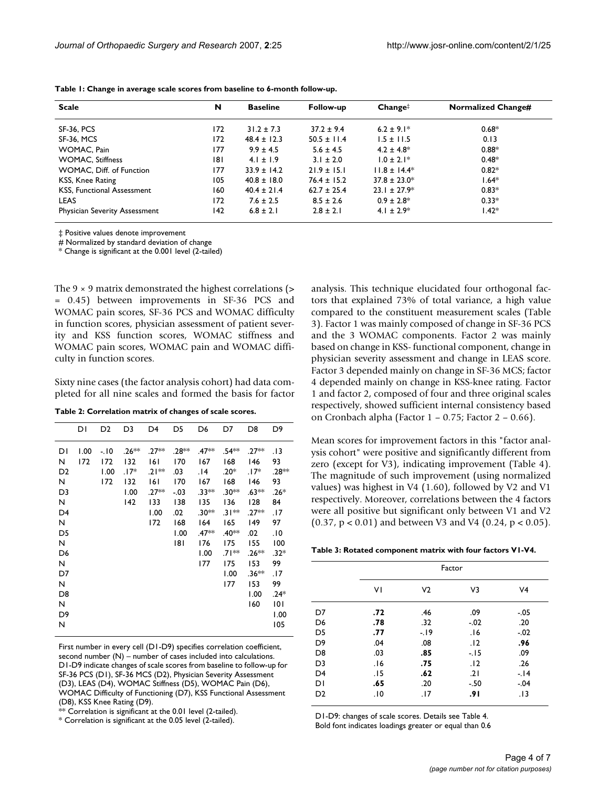| <b>Scale</b>                      | N   | <b>Baseline</b> | Follow-up       | Change <sup>†</sup> | <b>Normalized Change#</b> |
|-----------------------------------|-----|-----------------|-----------------|---------------------|---------------------------|
| <b>SF-36, PCS</b>                 | 172 | $31.2 \pm 7.3$  | $37.2 \pm 9.4$  | $6.2 \pm 9.1*$      | $0.68*$                   |
| <b>SF-36, MCS</b>                 | 172 | $48.4 \pm 12.3$ | $50.5 \pm 11.4$ | $1.5 \pm 11.5$      | 0.13                      |
| WOMAC, Pain                       | 177 | $9.9 \pm 4.5$   | $5.6 \pm 4.5$   | $4.2 \pm 4.8^*$     | $0.88*$                   |
| <b>WOMAC, Stiffness</b>           | 181 | $4.1 \pm 1.9$   | $3.1 \pm 2.0$   | $1.0 \pm 2.1*$      | $0.48*$                   |
| WOMAC, Diff. of Function          | 177 | $33.9 \pm 14.2$ | $21.9 \pm 15.1$ | $11.8 \pm 14.4*$    | $0.82*$                   |
| KSS, Knee Rating                  | 105 | $40.8 \pm 18.0$ | $76.4 \pm 15.2$ | $37.8 \pm 23.0^*$   | $1.64*$                   |
| <b>KSS. Functional Assessment</b> | 160 | $40.4 \pm 21.4$ | $62.7 \pm 25.4$ | $23.1 \pm 27.9^*$   | $0.83*$                   |
| LEAS                              | 172 | $7.6 \pm 2.5$   | $8.5 \pm 2.6$   | $0.9 \pm 2.8^*$     | $0.33*$                   |
| Physician Severity Assessment     | 142 | $6.8 \pm 2.1$   | $2.8 \pm 2.1$   | $4.1 \pm 2.9$ *     | $1.42*$                   |

**Table 1: Change in average scale scores from baseline to 6-month follow-up.**

‡ Positive values denote improvement

# Normalized by standard deviation of change

\* Change is significant at the 0.001 level (2-tailed)

The 9 × 9 matrix demonstrated the highest correlations (> = 0.45) between improvements in SF-36 PCS and WOMAC pain scores, SF-36 PCS and WOMAC difficulty in function scores, physician assessment of patient severity and KSS function scores, WOMAC stiffness and WOMAC pain scores, WOMAC pain and WOMAC difficulty in function scores.

Sixty nine cases (the factor analysis cohort) had data completed for all nine scales and formed the basis for factor

**Table 2: Correlation matrix of changes of scale scores.**

|                | DΙ   | D <sub>2</sub> | D3     | D4      | D5    | D6      | D7               | D8      | D9     |
|----------------|------|----------------|--------|---------|-------|---------|------------------|---------|--------|
| DΙ             | 1.00 | $-10$          | .26**  | $.27**$ | .28** | $.47**$ | .54**            | $.27**$ | . 13   |
| N              | 172  | 172            | 132    | 161     | 170   | 167     | 168              | 146     | 93     |
| D <sub>2</sub> |      | 1.00           | $.17*$ | $.21**$ | .03   | .14     | $.20*$           | .17*    | .28 ** |
| N              |      | 172            | 132    | 161     | 170   | 167     | 168              | 146     | 93     |
| D3             |      |                | 1.00   | $.27**$ | -.03  | .33**   | $.30**$          | .63**   | $.26*$ |
| N              |      |                | 142    | 133     | 138   | 135     | 136              | 128     | 84     |
| D4             |      |                |        | 1.00    | .02   | .30**   | $.31**$          | $.27**$ | .17    |
| N              |      |                |        | 172     | 168   | 164     | 165              | 149     | 97     |
| D <sub>5</sub> |      |                |        |         | 1.00  | .47**   | .40 <sup>*</sup> | .02     | 0١.    |
| N              |      |                |        |         | 181   | 176     | 175              | 155     | 100    |
| D6             |      |                |        |         |       | 1.00    | .71**            | $.26**$ | $.32*$ |
| N              |      |                |        |         |       | 177     | 175              | 153     | 99     |
| D7             |      |                |        |         |       |         | 1.00             | .36**   | .17    |
| N              |      |                |        |         |       |         | 177              | 153     | 99     |
| D8             |      |                |        |         |       |         |                  | 1.00    | $.24*$ |
| N              |      |                |        |         |       |         |                  | 160     | 101    |
| D9             |      |                |        |         |       |         |                  |         | 1.00   |
| N              |      |                |        |         |       |         |                  |         | 105    |

First number in every cell (D1-D9) specifies correlation coefficient, second number (N) – number of cases included into calculations. D1-D9 indicate changes of scale scores from baseline to follow-up for SF-36 PCS (D1), SF-36 MCS (D2), Physician Severity Assessment (D3), LEAS (D4), WOMAC Stiffness (D5), WOMAC Pain (D6), WOMAC Difficulty of Functioning (D7), KSS Functional Assessment (D8), KSS Knee Rating (D9).

\* Correlation is significant at the 0.05 level (2-tailed).

analysis. This technique elucidated four orthogonal factors that explained 73% of total variance, a high value compared to the constituent measurement scales (Table 3). Factor 1 was mainly composed of change in SF-36 PCS and the 3 WOMAC components. Factor 2 was mainly based on change in KSS- functional component, change in physician severity assessment and change in LEAS score. Factor 3 depended mainly on change in SF-36 MCS; factor 4 depended mainly on change in KSS-knee rating. Factor 1 and factor 2, composed of four and three original scales respectively, showed sufficient internal consistency based on Cronbach alpha (Factor 1 – 0.75; Factor 2 – 0.66).

Mean scores for improvement factors in this "factor analysis cohort" were positive and significantly different from zero (except for V3), indicating improvement (Table 4). The magnitude of such improvement (using normalized values) was highest in V4 (1.60), followed by V2 and V1 respectively. Moreover, correlations between the 4 factors were all positive but significant only between V1 and V2 (0.37, p < 0.01) and between V3 and V4 (0.24, p < 0.05).

| Table 3: Rotated component matrix with four factors VI-V4. |  |  |  |  |
|------------------------------------------------------------|--|--|--|--|
|------------------------------------------------------------|--|--|--|--|

|                | Factor |                |        |                |  |  |
|----------------|--------|----------------|--------|----------------|--|--|
|                | VI     | V <sub>2</sub> | V3     | V <sub>4</sub> |  |  |
| D7             | .72    | .46            | .09    | $-.05$         |  |  |
| D <sub>6</sub> | .78    | .32            | $-.02$ | .20            |  |  |
| D5             | .77    | $-19$          | 16.    | $-.02$         |  |  |
| D <sub>9</sub> | .04    | .08            | .12    | .96            |  |  |
| D <sub>8</sub> | .03    | .85            | $-15$  | .09            |  |  |
| D <sub>3</sub> | 16.    | .75            | .12    | .26            |  |  |
| D <sub>4</sub> | . 15   | .62            | .21    | $-14$          |  |  |
| DΙ             | .65    | .20            | $-.50$ | $-.04$         |  |  |
| D <sub>2</sub> | .10    | .17            | .91    | .13            |  |  |

D1-D9: changes of scale scores. Details see Table 4. Bold font indicates loadings greater or equal than 0.6

 $**$  Correlation is significant at the 0.01 level (2-tailed).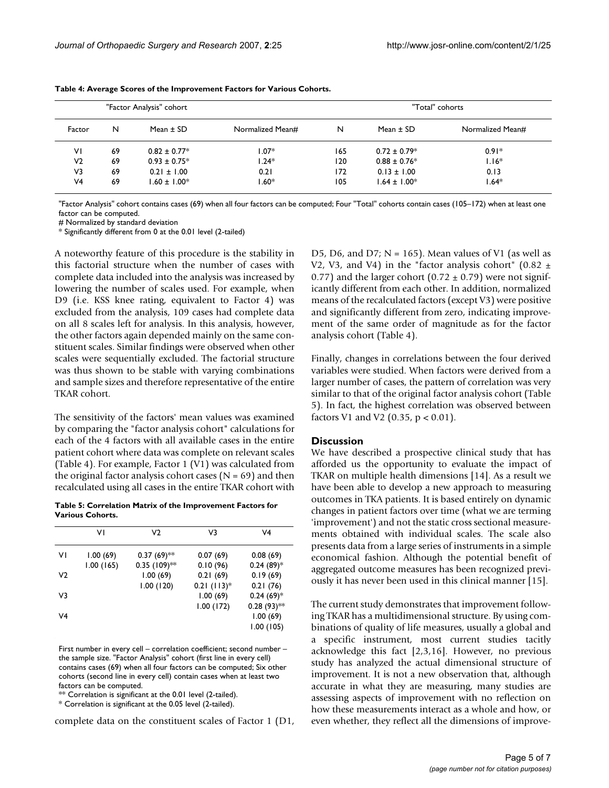| "Factor Analysis" cohort |    |                   |                  | "Total" cohorts |                  |                  |  |
|--------------------------|----|-------------------|------------------|-----------------|------------------|------------------|--|
| Factor                   | N  | Mean $\pm$ SD     | Normalized Mean# | N               | Mean $\pm$ SD    | Normalized Mean# |  |
| ۷ı                       | 69 | $0.82 \pm 0.77$ * | $1.07*$          | 165             | $0.72 \pm 0.79*$ | $0.91*$          |  |
| V <sub>2</sub>           | 69 | $0.93 \pm 0.75$ * | $1.24*$          | 120             | $0.88 \pm 0.76*$ | $1.16*$          |  |
| V3                       | 69 | $0.21 \pm 1.00$   | 0.21             | 172             | $0.13 \pm 1.00$  | 0.13             |  |
| V4                       | 69 | $1.60 \pm 1.00*$  | $.60*$           | 105             | $1.64 \pm 1.00*$ | $1.64*$          |  |

"Factor Analysis" cohort contains cases (69) when all four factors can be computed; Four "Total" cohorts contain cases (105–172) when at least one factor can be computed.

# Normalized by standard deviation

\* Significantly different from 0 at the 0.01 level (2-tailed)

A noteworthy feature of this procedure is the stability in this factorial structure when the number of cases with complete data included into the analysis was increased by lowering the number of scales used. For example, when D9 (i.e. KSS knee rating, equivalent to Factor 4) was excluded from the analysis, 109 cases had complete data on all 8 scales left for analysis. In this analysis, however, the other factors again depended mainly on the same constituent scales. Similar findings were observed when other scales were sequentially excluded. The factorial structure was thus shown to be stable with varying combinations and sample sizes and therefore representative of the entire TKAR cohort.

The sensitivity of the factors' mean values was examined by comparing the "factor analysis cohort" calculations for each of the 4 factors with all available cases in the entire patient cohort where data was complete on relevant scales (Table 4). For example, Factor 1 (V1) was calculated from the original factor analysis cohort cases ( $N = 69$ ) and then recalculated using all cases in the entire TKAR cohort with

**Table 5: Correlation Matrix of the Improvement Factors for Various Cohorts.**

|                | ۷ı        | V2             | V3           | V4            |
|----------------|-----------|----------------|--------------|---------------|
| νı             | 1.00(69)  | $0.37(69)$ **  | 0.07(69)     | 0.08(69)      |
|                | 1.00(165) | $0.35$ (109)** | 0.10(96)     | $0.24(89)*$   |
| V <sub>2</sub> |           | 1.00(69)       | 0.21(69)     | 0.19(69)      |
|                |           | 1.00(120)      | $0.21(113)*$ | 0.21(76)      |
| V3             |           |                | 1.00(69)     | $0.24(69)*$   |
|                |           |                | 1.00(172)    | $0.28(93)$ ** |
| V4             |           |                |              | 1.00(69)      |
|                |           |                |              | 1.00(105)     |
|                |           |                |              |               |

First number in every cell – correlation coefficient; second number – the sample size. "Factor Analysis" cohort (first line in every cell) contains cases (69) when all four factors can be computed; Six other cohorts (second line in every cell) contain cases when at least two factors can be computed.

\*\* Correlation is significant at the 0.01 level (2-tailed).

\* Correlation is significant at the 0.05 level (2-tailed).

complete data on the constituent scales of Factor 1 (D1,

D5, D6, and D7;  $N = 165$ ). Mean values of V1 (as well as V2, V3, and V4) in the "factor analysis cohort" (0.82  $\pm$ 0.77) and the larger cohort  $(0.72 \pm 0.79)$  were not significantly different from each other. In addition, normalized means of the recalculated factors (except V3) were positive and significantly different from zero, indicating improvement of the same order of magnitude as for the factor analysis cohort (Table 4).

Finally, changes in correlations between the four derived variables were studied. When factors were derived from a larger number of cases, the pattern of correlation was very similar to that of the original factor analysis cohort (Table 5). In fact, the highest correlation was observed between factors V1 and V2 (0.35, p < 0.01).

#### **Discussion**

We have described a prospective clinical study that has afforded us the opportunity to evaluate the impact of TKAR on multiple health dimensions [14]. As a result we have been able to develop a new approach to measuring outcomes in TKA patients. It is based entirely on dynamic changes in patient factors over time (what we are terming 'improvement') and not the static cross sectional measurements obtained with individual scales. The scale also presents data from a large series of instruments in a simple economical fashion. Although the potential benefit of aggregated outcome measures has been recognized previously it has never been used in this clinical manner [15].

The current study demonstrates that improvement following TKAR has a multidimensional structure. By using combinations of quality of life measures, usually a global and a specific instrument, most current studies tacitly acknowledge this fact [2,3,16]. However, no previous study has analyzed the actual dimensional structure of improvement. It is not a new observation that, although accurate in what they are measuring, many studies are assessing aspects of improvement with no reflection on how these measurements interact as a whole and how, or even whether, they reflect all the dimensions of improve-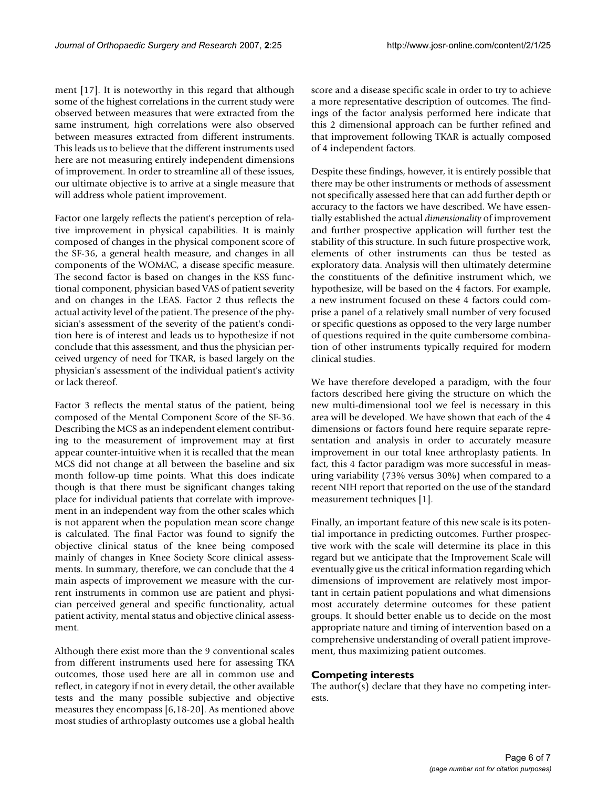ment [17]. It is noteworthy in this regard that although some of the highest correlations in the current study were observed between measures that were extracted from the same instrument, high correlations were also observed between measures extracted from different instruments. This leads us to believe that the different instruments used here are not measuring entirely independent dimensions of improvement. In order to streamline all of these issues, our ultimate objective is to arrive at a single measure that will address whole patient improvement.

Factor one largely reflects the patient's perception of relative improvement in physical capabilities. It is mainly composed of changes in the physical component score of the SF-36, a general health measure, and changes in all components of the WOMAC, a disease specific measure. The second factor is based on changes in the KSS functional component, physician based VAS of patient severity and on changes in the LEAS. Factor 2 thus reflects the actual activity level of the patient. The presence of the physician's assessment of the severity of the patient's condition here is of interest and leads us to hypothesize if not conclude that this assessment, and thus the physician perceived urgency of need for TKAR, is based largely on the physician's assessment of the individual patient's activity or lack thereof.

Factor 3 reflects the mental status of the patient, being composed of the Mental Component Score of the SF-36. Describing the MCS as an independent element contributing to the measurement of improvement may at first appear counter-intuitive when it is recalled that the mean MCS did not change at all between the baseline and six month follow-up time points. What this does indicate though is that there must be significant changes taking place for individual patients that correlate with improvement in an independent way from the other scales which is not apparent when the population mean score change is calculated. The final Factor was found to signify the objective clinical status of the knee being composed mainly of changes in Knee Society Score clinical assessments. In summary, therefore, we can conclude that the 4 main aspects of improvement we measure with the current instruments in common use are patient and physician perceived general and specific functionality, actual patient activity, mental status and objective clinical assessment.

Although there exist more than the 9 conventional scales from different instruments used here for assessing TKA outcomes, those used here are all in common use and reflect, in category if not in every detail, the other available tests and the many possible subjective and objective measures they encompass [6,18-20]. As mentioned above most studies of arthroplasty outcomes use a global health

score and a disease specific scale in order to try to achieve a more representative description of outcomes. The findings of the factor analysis performed here indicate that this 2 dimensional approach can be further refined and that improvement following TKAR is actually composed of 4 independent factors.

Despite these findings, however, it is entirely possible that there may be other instruments or methods of assessment not specifically assessed here that can add further depth or accuracy to the factors we have described. We have essentially established the actual *dimensionality* of improvement and further prospective application will further test the stability of this structure. In such future prospective work, elements of other instruments can thus be tested as exploratory data. Analysis will then ultimately determine the constituents of the definitive instrument which, we hypothesize, will be based on the 4 factors. For example, a new instrument focused on these 4 factors could comprise a panel of a relatively small number of very focused or specific questions as opposed to the very large number of questions required in the quite cumbersome combination of other instruments typically required for modern clinical studies.

We have therefore developed a paradigm, with the four factors described here giving the structure on which the new multi-dimensional tool we feel is necessary in this area will be developed. We have shown that each of the 4 dimensions or factors found here require separate representation and analysis in order to accurately measure improvement in our total knee arthroplasty patients. In fact, this 4 factor paradigm was more successful in measuring variability (73% versus 30%) when compared to a recent NIH report that reported on the use of the standard measurement techniques [1].

Finally, an important feature of this new scale is its potential importance in predicting outcomes. Further prospective work with the scale will determine its place in this regard but we anticipate that the Improvement Scale will eventually give us the critical information regarding which dimensions of improvement are relatively most important in certain patient populations and what dimensions most accurately determine outcomes for these patient groups. It should better enable us to decide on the most appropriate nature and timing of intervention based on a comprehensive understanding of overall patient improvement, thus maximizing patient outcomes.

#### **Competing interests**

The author(s) declare that they have no competing interests.